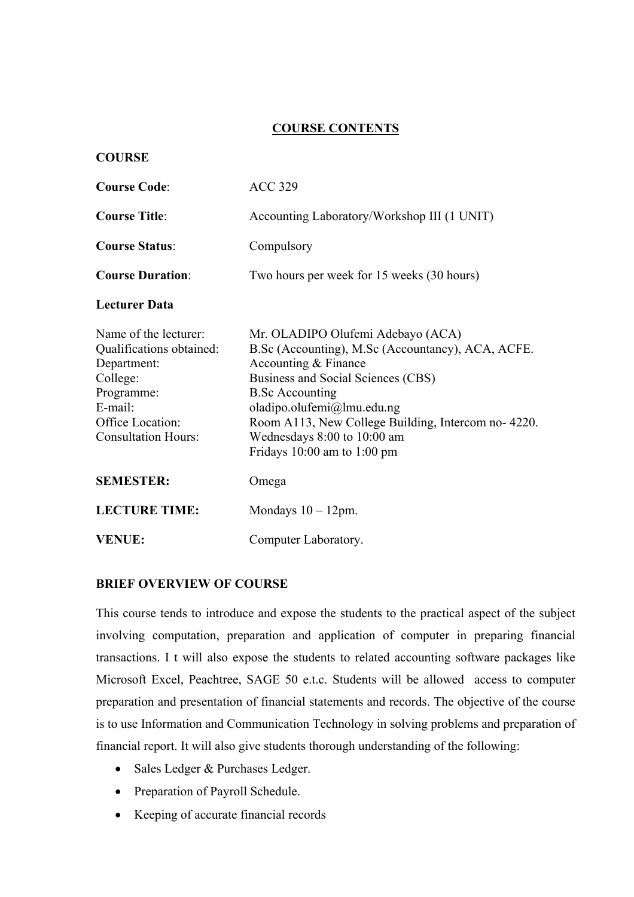## **COURSE CONTENTS**

### **COURSE**

| <b>Course Code:</b>                                                                                                                                     | <b>ACC 329</b>                                                                                                                                                                                                                                                                                                                       |
|---------------------------------------------------------------------------------------------------------------------------------------------------------|--------------------------------------------------------------------------------------------------------------------------------------------------------------------------------------------------------------------------------------------------------------------------------------------------------------------------------------|
| <b>Course Title:</b>                                                                                                                                    | Accounting Laboratory/Workshop III (1 UNIT)                                                                                                                                                                                                                                                                                          |
| <b>Course Status:</b>                                                                                                                                   | Compulsory                                                                                                                                                                                                                                                                                                                           |
| <b>Course Duration:</b>                                                                                                                                 | Two hours per week for 15 weeks (30 hours)                                                                                                                                                                                                                                                                                           |
| <b>Lecturer Data</b>                                                                                                                                    |                                                                                                                                                                                                                                                                                                                                      |
| Name of the lecturer:<br>Qualifications obtained:<br>Department:<br>College:<br>Programme:<br>E-mail:<br>Office Location:<br><b>Consultation Hours:</b> | Mr. OLADIPO Olufemi Adebayo (ACA)<br>B.Sc (Accounting), M.Sc (Accountancy), ACA, ACFE.<br>Accounting & Finance<br>Business and Social Sciences (CBS)<br><b>B.Sc Accounting</b><br>oladipo.olufemi@lmu.edu.ng<br>Room A113, New College Building, Intercom no-4220.<br>Wednesdays 8:00 to 10:00 am<br>Fridays $10:00$ am to $1:00$ pm |
| <b>SEMESTER:</b>                                                                                                                                        | Omega                                                                                                                                                                                                                                                                                                                                |
| <b>LECTURE TIME:</b>                                                                                                                                    | Mondays $10 - 12$ pm.                                                                                                                                                                                                                                                                                                                |
| <b>VENUE:</b>                                                                                                                                           | Computer Laboratory.                                                                                                                                                                                                                                                                                                                 |

### **BRIEF OVERVIEW OF COURSE**

This course tends to introduce and expose the students to the practical aspect of the subject involving computation, preparation and application of computer in preparing financial transactions. I t will also expose the students to related accounting software packages like Microsoft Excel, Peachtree, SAGE 50 e.t.c. Students will be allowed access to computer preparation and presentation of financial statements and records. The objective of the course is to use Information and Communication Technology in solving problems and preparation of financial report. It will also give students thorough understanding of the following:

- Sales Ledger & Purchases Ledger.
- Preparation of Payroll Schedule.
- Keeping of accurate financial records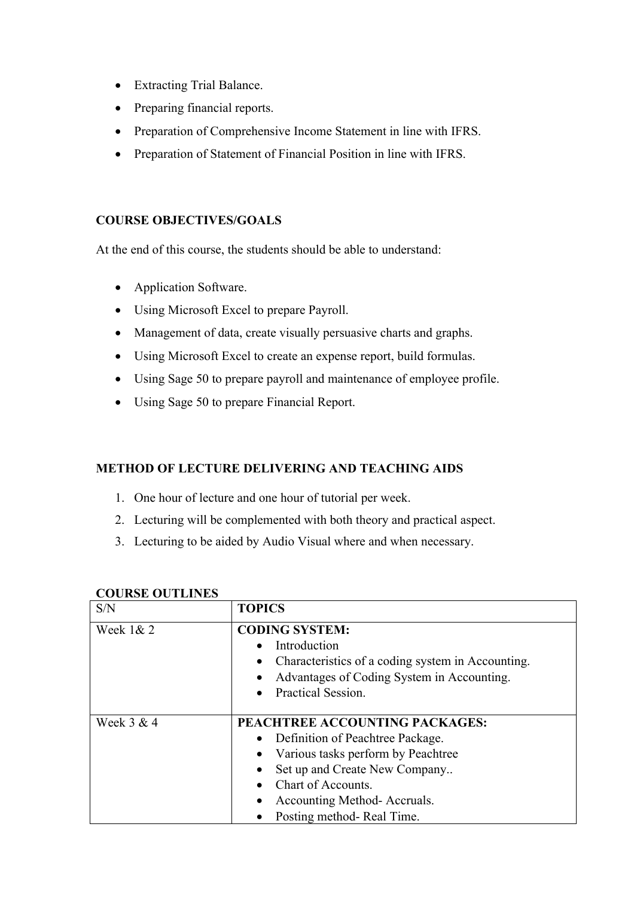- Extracting Trial Balance.
- Preparing financial reports.
- Preparation of Comprehensive Income Statement in line with IFRS.
- Preparation of Statement of Financial Position in line with IFRS.

## **COURSE OBJECTIVES/GOALS**

At the end of this course, the students should be able to understand:

- Application Software.
- Using Microsoft Excel to prepare Payroll.
- Management of data, create visually persuasive charts and graphs.
- Using Microsoft Excel to create an expense report, build formulas.
- Using Sage 50 to prepare payroll and maintenance of employee profile.
- Using Sage 50 to prepare Financial Report.

## **METHOD OF LECTURE DELIVERING AND TEACHING AIDS**

- 1. One hour of lecture and one hour of tutorial per week.
- 2. Lecturing will be complemented with both theory and practical aspect.
- 3. Lecturing to be aided by Audio Visual where and when necessary.

| S/N         | <b>TOPICS</b>                                                                                                                                                                                                                                         |
|-------------|-------------------------------------------------------------------------------------------------------------------------------------------------------------------------------------------------------------------------------------------------------|
| Week $1& 2$ | <b>CODING SYSTEM:</b><br>Introduction<br>Characteristics of a coding system in Accounting.<br>$\bullet$<br>Advantages of Coding System in Accounting.<br>$\bullet$<br>Practical Session.<br>$\bullet$                                                 |
| Week 3 & 4  | PEACHTREE ACCOUNTING PACKAGES:<br>Definition of Peachtree Package.<br>Various tasks perform by Peachtree<br>Set up and Create New Company<br>$\bullet$<br>Chart of Accounts.<br>Accounting Method-Accruals.<br>$\bullet$<br>Posting method-Real Time. |

## **COURSE OUTLINES**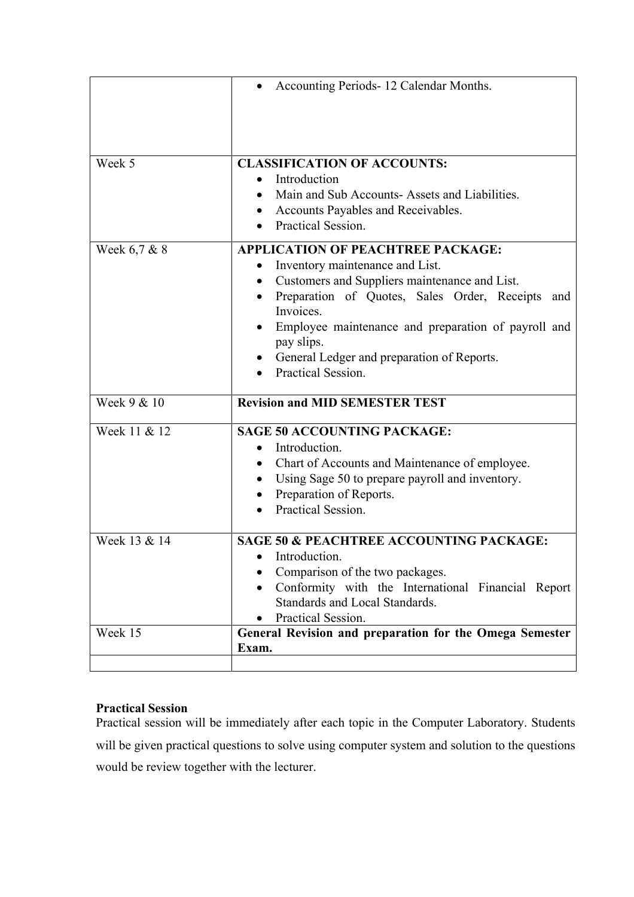|              | Accounting Periods-12 Calendar Months.                                                                                                                                                                                                                                                                                                                 |
|--------------|--------------------------------------------------------------------------------------------------------------------------------------------------------------------------------------------------------------------------------------------------------------------------------------------------------------------------------------------------------|
|              |                                                                                                                                                                                                                                                                                                                                                        |
| Week 5       | <b>CLASSIFICATION OF ACCOUNTS:</b><br>Introduction<br>Main and Sub Accounts-Assets and Liabilities.<br>Accounts Payables and Receivables.<br>Practical Session.                                                                                                                                                                                        |
| Week 6,7 & 8 | <b>APPLICATION OF PEACHTREE PACKAGE:</b><br>Inventory maintenance and List.<br>$\bullet$<br>Customers and Suppliers maintenance and List.<br>Preparation of Quotes, Sales Order, Receipts<br>and<br>Invoices.<br>Employee maintenance and preparation of payroll and<br>pay slips.<br>General Ledger and preparation of Reports.<br>Practical Session. |
| Week 9 & 10  | <b>Revision and MID SEMESTER TEST</b>                                                                                                                                                                                                                                                                                                                  |
| Week 11 & 12 | <b>SAGE 50 ACCOUNTING PACKAGE:</b><br>Introduction.<br>$\bullet$<br>Chart of Accounts and Maintenance of employee.<br>Using Sage 50 to prepare payroll and inventory.<br>Preparation of Reports.<br>Practical Session.                                                                                                                                 |
| Week 13 & 14 | <b>SAGE 50 &amp; PEACHTREE ACCOUNTING PACKAGE:</b><br>Introduction.<br>Comparison of the two packages.<br>Conformity with the International Financial Report<br>Standards and Local Standards.<br>Practical Session.                                                                                                                                   |
| Week 15      | General Revision and preparation for the Omega Semester<br>Exam.                                                                                                                                                                                                                                                                                       |

# **Practical Session**

Practical session will be immediately after each topic in the Computer Laboratory. Students will be given practical questions to solve using computer system and solution to the questions would be review together with the lecturer.